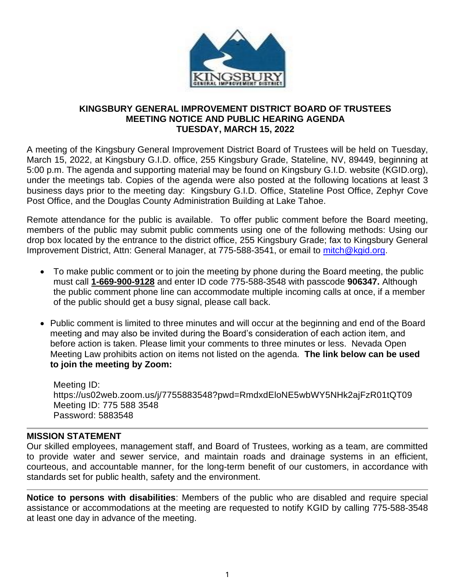

### **KINGSBURY GENERAL IMPROVEMENT DISTRICT BOARD OF TRUSTEES MEETING NOTICE AND PUBLIC HEARING AGENDA TUESDAY, MARCH 15, 2022**

A meeting of the Kingsbury General Improvement District Board of Trustees will be held on Tuesday, March 15, 2022, at Kingsbury G.I.D. office, 255 Kingsbury Grade, Stateline, NV, 89449, beginning at 5:00 p.m. The agenda and supporting material may be found on Kingsbury G.I.D. website (KGID.org), under the meetings tab. Copies of the agenda were also posted at the following locations at least 3 business days prior to the meeting day: Kingsbury G.I.D. Office, Stateline Post Office, Zephyr Cove Post Office, and the Douglas County Administration Building at Lake Tahoe.

Remote attendance for the public is available. To offer public comment before the Board meeting, members of the public may submit public comments using one of the following methods: Using our drop box located by the entrance to the district office, 255 Kingsbury Grade; fax to Kingsbury General Improvement District, Attn: General Manager, at 775-588-3541, or email to [mitch@kgid.org.](mailto:mitch@kgid.org)

- To make public comment or to join the meeting by phone during the Board meeting, the public must call **1-669-900-9128** and enter ID code 775-588-3548 with passcode **906347.** Although the public comment phone line can accommodate multiple incoming calls at once, if a member of the public should get a busy signal, please call back.
- Public comment is limited to three minutes and will occur at the beginning and end of the Board meeting and may also be invited during the Board's consideration of each action item, and before action is taken. Please limit your comments to three minutes or less. Nevada Open Meeting Law prohibits action on items not listed on the agenda. **The link below can be used to join the meeting by Zoom:**

Meeting ID: https://us02web.zoom.us/j/7755883548?pwd=RmdxdEloNE5wbWY5NHk2ajFzR01tQT09 Meeting ID: 775 588 3548 Password: 5883548

## **MISSION STATEMENT**

Our skilled employees, management staff, and Board of Trustees, working as a team, are committed to provide water and sewer service, and maintain roads and drainage systems in an efficient, courteous, and accountable manner, for the long-term benefit of our customers, in accordance with standards set for public health, safety and the environment.

**Notice to persons with disabilities**: Members of the public who are disabled and require special assistance or accommodations at the meeting are requested to notify KGID by calling 775-588-3548 at least one day in advance of the meeting.